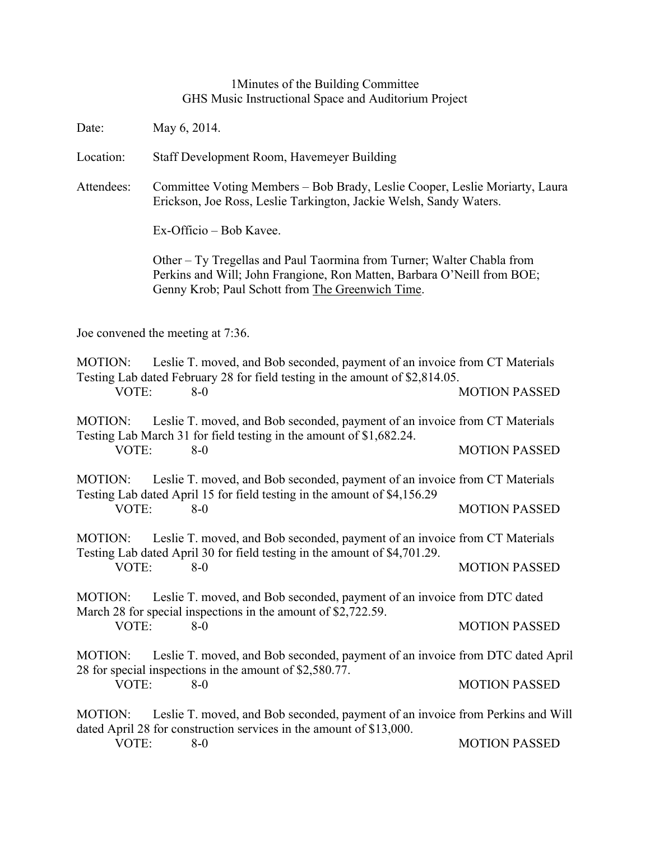## 1Minutes of the Building Committee GHS Music Instructional Space and Auditorium Project

Date: May 6, 2014.

Location: Staff Development Room, Havemeyer Building

Attendees: Committee Voting Members – Bob Brady, Leslie Cooper, Leslie Moriarty, Laura Erickson, Joe Ross, Leslie Tarkington, Jackie Welsh, Sandy Waters.

Ex-Officio – Bob Kavee.

Other – Ty Tregellas and Paul Taormina from Turner; Walter Chabla from Perkins and Will; John Frangione, Ron Matten, Barbara O'Neill from BOE; Genny Krob; Paul Schott from The Greenwich Time.

Joe convened the meeting at 7:36.

MOTION: Leslie T. moved, and Bob seconded, payment of an invoice from CT Materials Testing Lab dated February 28 for field testing in the amount of \$2,814.05. VOTE: 8-0 MOTION PASSED

MOTION: Leslie T. moved, and Bob seconded, payment of an invoice from CT Materials Testing Lab March 31 for field testing in the amount of \$1,682.24. VOTE: 8-0 MOTION PASSED

MOTION: Leslie T. moved, and Bob seconded, payment of an invoice from CT Materials Testing Lab dated April 15 for field testing in the amount of \$4,156.29 VOTE: 8-0 8-0 MOTION PASSED

MOTION: Leslie T. moved, and Bob seconded, payment of an invoice from CT Materials Testing Lab dated April 30 for field testing in the amount of \$4,701.29. VOTE: 8-0 MOTION PASSED

MOTION: Leslie T. moved, and Bob seconded, payment of an invoice from DTC dated March 28 for special inspections in the amount of \$2,722.59. VOTE: 8-0 MOTION PASSED

MOTION: Leslie T. moved, and Bob seconded, payment of an invoice from DTC dated April 28 for special inspections in the amount of \$2,580.77. VOTE: 8-0 MOTION PASSED

MOTION: Leslie T. moved, and Bob seconded, payment of an invoice from Perkins and Will dated April 28 for construction services in the amount of \$13,000.

VOTE: 8-0 8-0 MOTION PASSED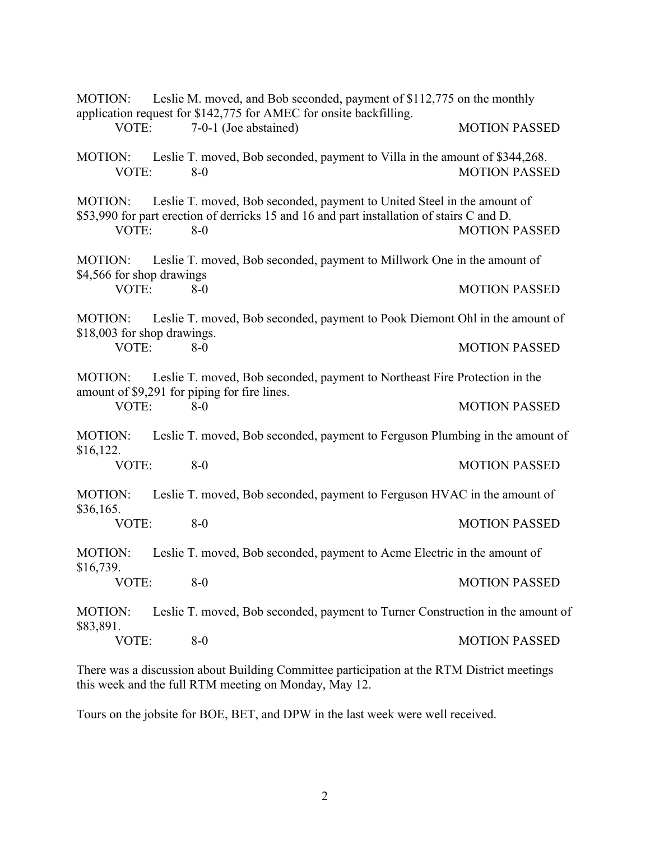| Leslie M. moved, and Bob seconded, payment of \$112,775 on the monthly<br><b>MOTION:</b><br>application request for \$142,775 for AMEC for onsite backfilling. |  |                                                                                                                                                                               |                      |
|----------------------------------------------------------------------------------------------------------------------------------------------------------------|--|-------------------------------------------------------------------------------------------------------------------------------------------------------------------------------|----------------------|
| VOTE:                                                                                                                                                          |  | 7-0-1 (Joe abstained)                                                                                                                                                         | <b>MOTION PASSED</b> |
| MOTION:<br>VOTE:                                                                                                                                               |  | Leslie T. moved, Bob seconded, payment to Villa in the amount of \$344,268.<br>$8-0$                                                                                          | <b>MOTION PASSED</b> |
| <b>MOTION:</b><br>VOTE:                                                                                                                                        |  | Leslie T. moved, Bob seconded, payment to United Steel in the amount of<br>\$53,990 for part erection of derricks 15 and 16 and part installation of stairs C and D.<br>$8-0$ | <b>MOTION PASSED</b> |
| <b>MOTION:</b><br>\$4,566 for shop drawings                                                                                                                    |  | Leslie T. moved, Bob seconded, payment to Millwork One in the amount of                                                                                                       |                      |
| VOTE:                                                                                                                                                          |  | $8-0$                                                                                                                                                                         | <b>MOTION PASSED</b> |
| <b>MOTION:</b><br>\$18,003 for shop drawings.                                                                                                                  |  | Leslie T. moved, Bob seconded, payment to Pook Diemont Ohl in the amount of                                                                                                   |                      |
| VOTE:                                                                                                                                                          |  | $8-0$                                                                                                                                                                         | <b>MOTION PASSED</b> |
| <b>MOTION:</b><br>VOTE:                                                                                                                                        |  | Leslie T. moved, Bob seconded, payment to Northeast Fire Protection in the<br>amount of \$9,291 for piping for fire lines.<br>$8 - 0$                                         |                      |
|                                                                                                                                                                |  |                                                                                                                                                                               | <b>MOTION PASSED</b> |
| <b>MOTION:</b><br>\$16,122.<br>VOTE:                                                                                                                           |  | Leslie T. moved, Bob seconded, payment to Ferguson Plumbing in the amount of                                                                                                  |                      |
|                                                                                                                                                                |  | $8-0$                                                                                                                                                                         | <b>MOTION PASSED</b> |
| MOTION:<br>\$36,165.<br>VOTE:                                                                                                                                  |  | Leslie T. moved, Bob seconded, payment to Ferguson HVAC in the amount of                                                                                                      |                      |
|                                                                                                                                                                |  | $8-0$                                                                                                                                                                         | <b>MOTION PASSED</b> |
| <b>MOTION:</b><br>\$16,739.<br>VOTE:                                                                                                                           |  | Leslie T. moved, Bob seconded, payment to Acme Electric in the amount of                                                                                                      |                      |
|                                                                                                                                                                |  | $8-0$                                                                                                                                                                         | <b>MOTION PASSED</b> |
| <b>MOTION:</b><br>\$83,891.<br>VOTE:                                                                                                                           |  | Leslie T. moved, Bob seconded, payment to Turner Construction in the amount of                                                                                                |                      |
|                                                                                                                                                                |  | $8-0$                                                                                                                                                                         | <b>MOTION PASSED</b> |

There was a discussion about Building Committee participation at the RTM District meetings this week and the full RTM meeting on Monday, May 12.

Tours on the jobsite for BOE, BET, and DPW in the last week were well received.